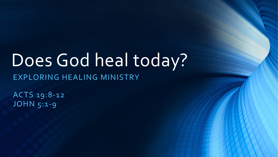#### Does God heal today? EXPLORING HEALING MINISTRY

ACTS 19:8-12 JOHN 5:1-9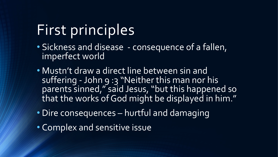### First principles

- Sickness and disease consequence of a fallen, imperfect world
- Mustn't draw a direct line between sin and suffering -John 9 :3 "Neither this man nor his parents sinned," said Jesus, "but this happened so that the works of God might be displayed in him."
- Dire consequences hurtful and damaging
- Complex and sensitive issue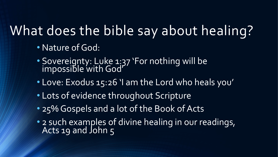### What does the bible say about healing?

- Nature of God:
- Sovereignty: Luke 1:37 'For nothing will be impossible with God'
- Love: Exodus 15:26 'I am the Lord who heals you'
- Lots of evidence throughout Scripture
- 25% Gospels and a lot of the Book of Acts
- 2 such examples of divine healing in our readings, Acts 19 and John 5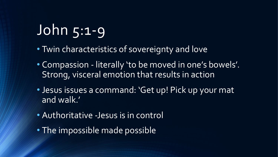# John 5:1-9

- Twin characteristics of sovereignty and love
- Compassion literally 'to be moved in one's bowels'. Strong, visceral emotion that results in action
- Jesus issues a command: 'Get up! Pick up your mat and walk.'
- Authoritative -Jesus is in control
- The impossible made possible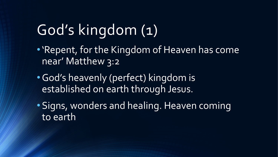# God's kingdom (1)

- •'Repent, for the Kingdom of Heaven has come near' Matthew 3:2
- •God's heavenly (perfect) kingdom is established on earth through Jesus.
- Signs, wonders and healing. Heaven coming to earth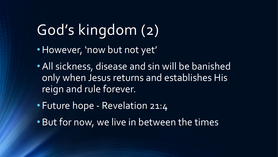# God's kingdom (2)

- •However, 'now but not yet'
- •All sickness, disease and sin will be banished only when Jesus returns and establishes His reign and rule forever.
- Future hope Revelation 21:4
- •But for now, we live in between the times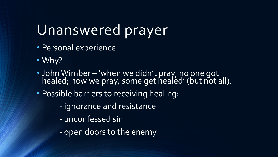### Unanswered prayer

- Personal experience
- Why?
- John Wimber 'when we didn't pray, no one got<br>healed; now we pray, some get healed' (but not all).
- Possible barriers to receiving healing:
	- ignorance and resistance
	- unconfessed sin
	- open doors to the enemy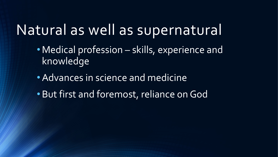### Natural as well as supernatural

- Medical profession skills, experience and knowledge
- •Advances in science and medicine
- •But first and foremost, reliance on God